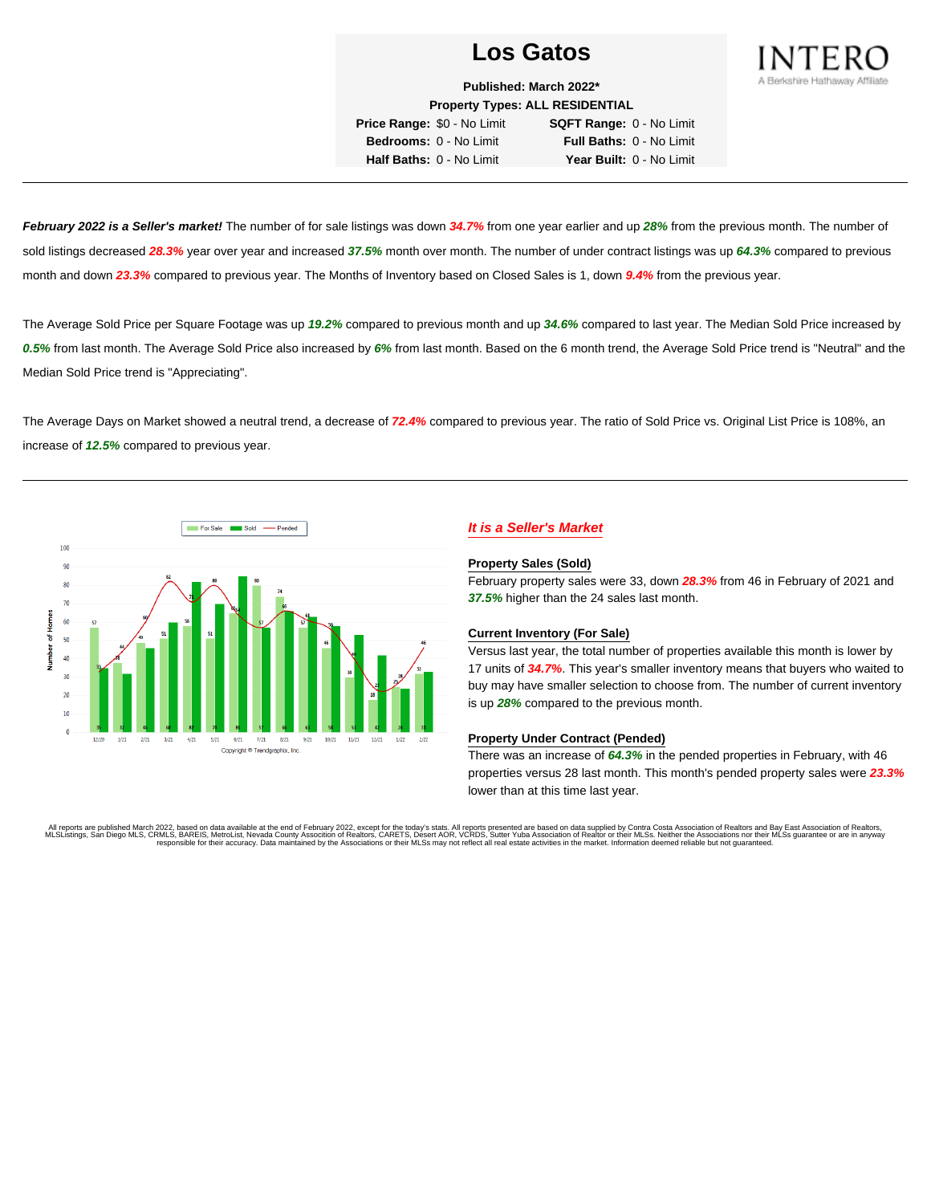

**Published: March 2022\* Property Types: ALL RESIDENTIAL**

**Price Range:** \$0 - No Limit **SQFT Range:** 0 - No Limit **Bedrooms:** 0 - No Limit **Full Baths:** 0 - No Limit **Half Baths:** 0 - No Limit **Year Built:** 0 - No Limit

**February 2022 is a Seller's market!** The number of for sale listings was down **34.7%** from one year earlier and up **28%** from the previous month. The number of sold listings decreased **28.3%** year over year and increased **37.5%** month over month. The number of under contract listings was up **64.3%** compared to previous month and down **23.3%** compared to previous year. The Months of Inventory based on Closed Sales is 1, down **9.4%** from the previous year.

The Average Sold Price per Square Footage was up **19.2%** compared to previous month and up **34.6%** compared to last year. The Median Sold Price increased by **0.5%** from last month. The Average Sold Price also increased by **6%** from last month. Based on the 6 month trend, the Average Sold Price trend is "Neutral" and the Median Sold Price trend is "Appreciating".

The Average Days on Market showed a neutral trend, a decrease of **72.4%** compared to previous year. The ratio of Sold Price vs. Original List Price is 108%, an increase of **12.5%** compared to previous year.



## **It is a Seller's Market**

#### **Property Sales (Sold)**

February property sales were 33, down **28.3%** from 46 in February of 2021 and **37.5%** higher than the 24 sales last month.

#### **Current Inventory (For Sale)**

Versus last year, the total number of properties available this month is lower by 17 units of **34.7%**. This year's smaller inventory means that buyers who waited to buy may have smaller selection to choose from. The number of current inventory is up **28%** compared to the previous month.

#### **Property Under Contract (Pended)**

There was an increase of **64.3%** in the pended properties in February, with 46 properties versus 28 last month. This month's pended property sales were **23.3%** lower than at this time last year.

All reports are published March 2022, based on data available at the end of February 2022, except for the today's stats. All reports presented are based on data supplied by Contra Costa Association of Realtors and Bay East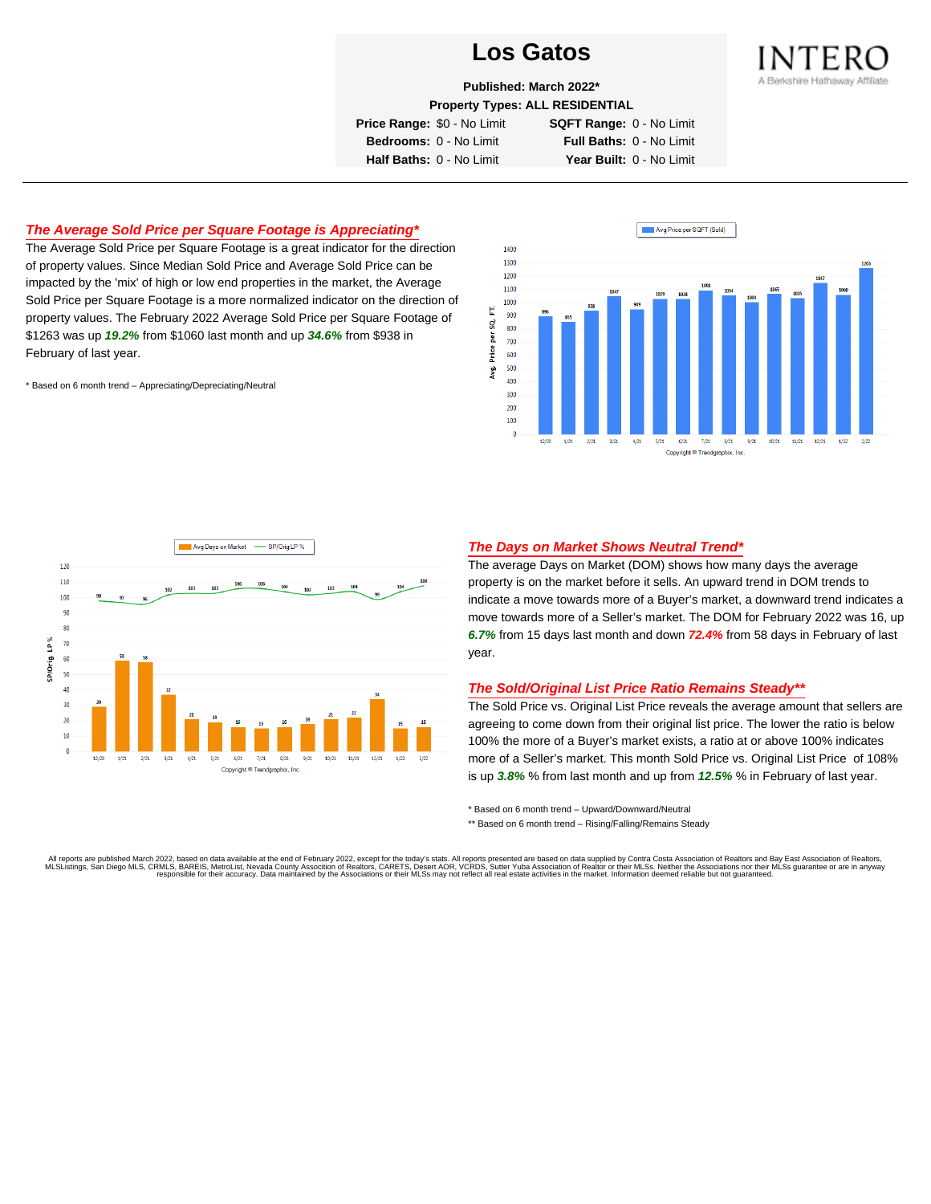

**Published: March 2022\***

**Property Types: ALL RESIDENTIAL**

**Price Range:** \$0 - No Limit **SQFT Range:** 0 - No Limit

**Bedrooms:** 0 - No Limit **Full Baths:** 0 - No Limit **Half Baths:** 0 - No Limit **Year Built:** 0 - No Limit

## **The Average Sold Price per Square Footage is Appreciating\***

The Average Sold Price per Square Footage is a great indicator for the direction of property values. Since Median Sold Price and Average Sold Price can be impacted by the 'mix' of high or low end properties in the market, the Average Sold Price per Square Footage is a more normalized indicator on the direction of property values. The February 2022 Average Sold Price per Square Footage of \$1263 was up **19.2%** from \$1060 last month and up **34.6%** from \$938 in February of last year.

\* Based on 6 month trend – Appreciating/Depreciating/Neutral





#### **The Days on Market Shows Neutral Trend\***

The average Days on Market (DOM) shows how many days the average property is on the market before it sells. An upward trend in DOM trends to indicate a move towards more of a Buyer's market, a downward trend indicates a move towards more of a Seller's market. The DOM for February 2022 was 16, up **6.7%** from 15 days last month and down **72.4%** from 58 days in February of last year.

#### **The Sold/Original List Price Ratio Remains Steady\*\***

The Sold Price vs. Original List Price reveals the average amount that sellers are agreeing to come down from their original list price. The lower the ratio is below 100% the more of a Buyer's market exists, a ratio at or above 100% indicates more of a Seller's market. This month Sold Price vs. Original List Price of 108% is up **3.8%** % from last month and up from **12.5%** % in February of last year.

\* Based on 6 month trend – Upward/Downward/Neutral

\*\* Based on 6 month trend - Rising/Falling/Remains Steady

All reports are published March 2022, based on data available at the end of February 2022, except for the today's stats. All reports presented are based on data supplied by Contra Costa Association of Realtors and Bay East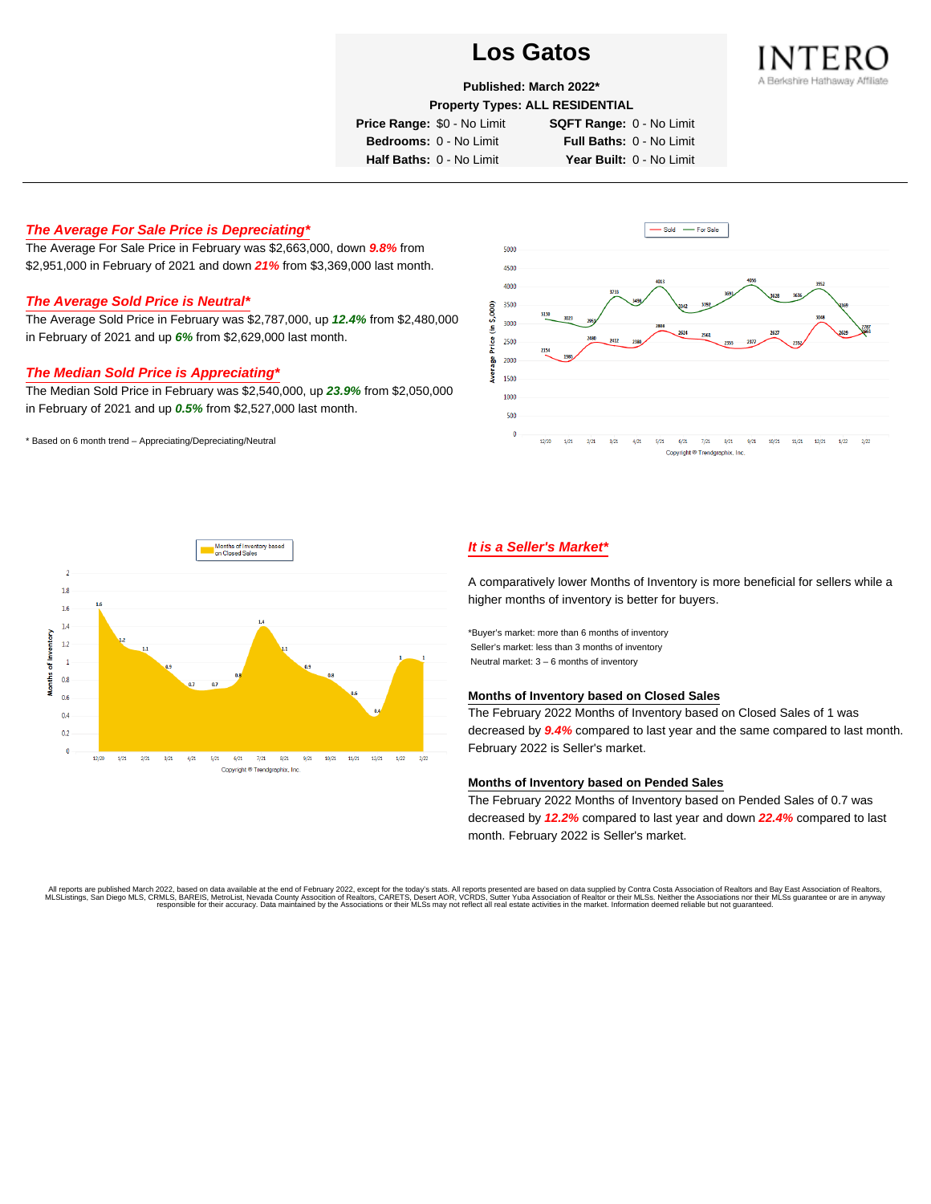

**Published: March 2022\***

**Property Types: ALL RESIDENTIAL**

**Price Range:** \$0 - No Limit **SQFT Range:** 0 - No Limit

**Bedrooms:** 0 - No Limit **Full Baths:** 0 - No Limit **Half Baths:** 0 - No Limit **Year Built:** 0 - No Limit

#### **The Average For Sale Price is Depreciating\***

The Average For Sale Price in February was \$2,663,000, down **9.8%** from \$2,951,000 in February of 2021 and down **21%** from \$3,369,000 last month.

#### **The Average Sold Price is Neutral\***

The Average Sold Price in February was \$2,787,000, up **12.4%** from \$2,480,000 in February of 2021 and up **6%** from \$2,629,000 last month.

#### **The Median Sold Price is Appreciating\***

The Median Sold Price in February was \$2,540,000, up **23.9%** from \$2,050,000 in February of 2021 and up **0.5%** from \$2,527,000 last month.

\* Based on 6 month trend – Appreciating/Depreciating/Neutral





### **It is a Seller's Market\***

A comparatively lower Months of Inventory is more beneficial for sellers while a higher months of inventory is better for buyers.

\*Buyer's market: more than 6 months of inventory Seller's market: less than 3 months of inventory Neutral market: 3 – 6 months of inventory

#### **Months of Inventory based on Closed Sales**

The February 2022 Months of Inventory based on Closed Sales of 1 was decreased by **9.4%** compared to last year and the same compared to last month. February 2022 is Seller's market.

#### **Months of Inventory based on Pended Sales**

The February 2022 Months of Inventory based on Pended Sales of 0.7 was decreased by **12.2%** compared to last year and down **22.4%** compared to last month. February 2022 is Seller's market.

. All reports are published March 2022, based on data available at the end of February 2022, except for the today's stats. All reports presented are based on data supplied by Contra Costa Association of Realtors, San Bread responsible for their accuracy. Data maintained by the Associations or their MLSs may not reflect all real estate activities in the market. Information deemed reliable but not guaranteed.